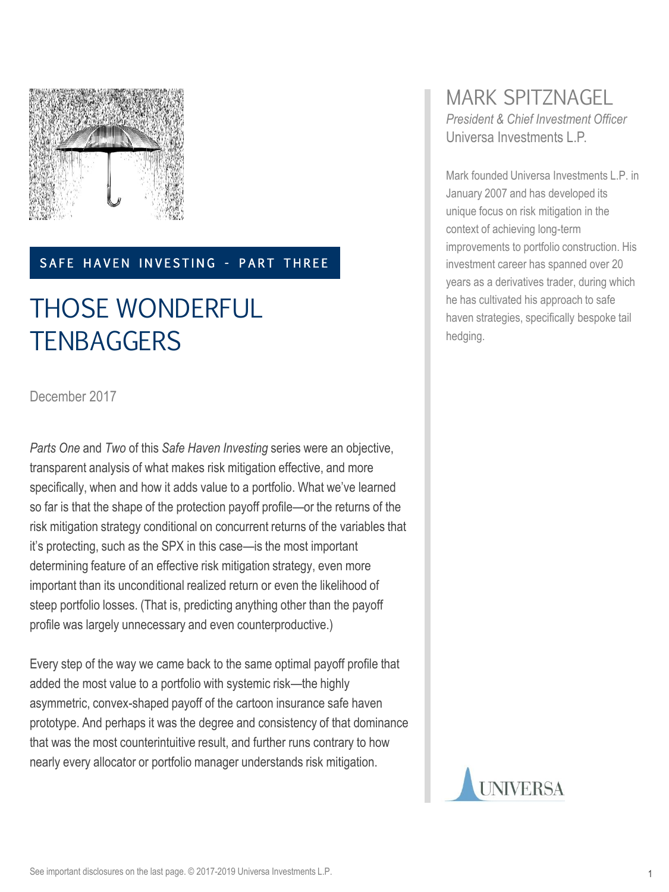

#### SAFE HAVEN INVESTING - PART THREE

# THOSE WONDERFUL **TENBAGGERS**

December 2017

*Parts One* and *Two* of this *Safe Haven Investing* series were an objective, transparent analysis of what makes risk mitigation effective, and more specifically, when and how it adds value to a portfolio. What we've learned so far is that the shape of the protection payoff profile—or the returns of the risk mitigation strategy conditional on concurrent returns of the variables that it's protecting, such as the SPX in this case—is the most important determining feature of an effective risk mitigation strategy, even more important than its unconditional realized return or even the likelihood of steep portfolio losses. (That is, predicting anything other than the payoff profile was largely unnecessary and even counterproductive.)

Every step of the way we came back to the same optimal payoff profile that added the most value to a portfolio with systemic risk—the highly asymmetric, convex-shaped payoff of the cartoon insurance safe haven prototype. And perhaps it was the degree and consistency of that dominance that was the most counterintuitive result, and further runs contrary to how nearly every allocator or portfolio manager understands risk mitigation.

#### MARK SPITZNAGEL *President & Chief Investment Officer* Universa Investments L.P.

Mark founded Universa Investments L.P. in January 2007 and has developed its unique focus on risk mitigation in the context of achieving long-term improvements to portfolio construction. His investment career has spanned over 20 years as a derivatives trader, during which he has cultivated his approach to safe haven strategies, specifically bespoke tail hedging.

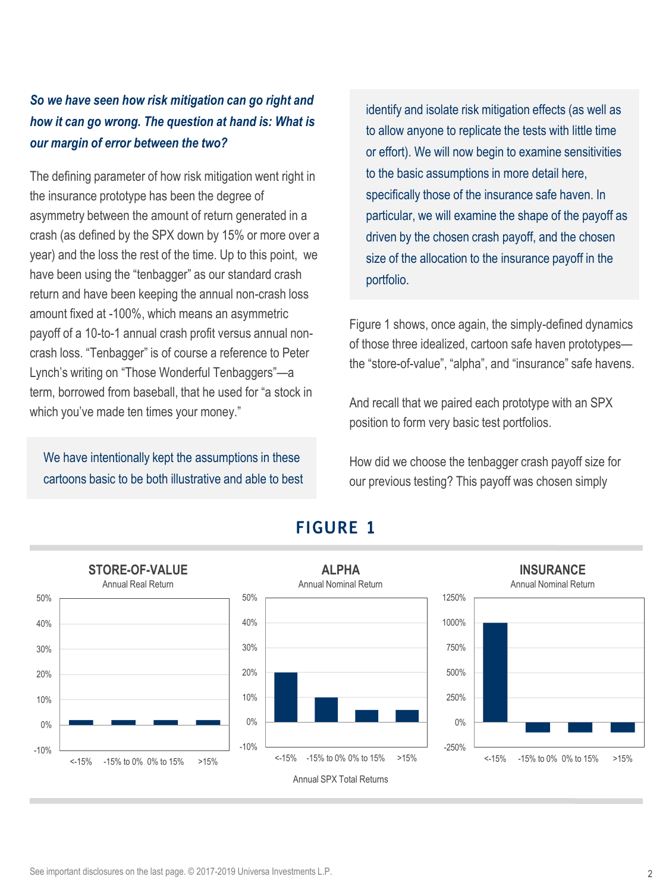#### *So we have seen how risk mitigation can go right and how it can go wrong. The question at hand is: What is our margin of error between the two?*

The defining parameter of how risk mitigation went right in the insurance prototype has been the degree of asymmetry between the amount of return generated in a crash (as defined by the SPX down by 15% or more over a year) and the loss the rest of the time. Up to this point, we have been using the "tenbagger" as our standard crash return and have been keeping the annual non-crash loss amount fixed at -100%, which means an asymmetric payoff of a 10-to-1 annual crash profit versus annual noncrash loss. "Tenbagger" is of course a reference to Peter Lynch's writing on "Those Wonderful Tenbaggers"—a term, borrowed from baseball, that he used for "a stock in which you've made ten times your money."

We have intentionally kept the assumptions in these cartoons basic to be both illustrative and able to best

identify and isolate risk mitigation effects (as well as to allow anyone to replicate the tests with little time or effort). We will now begin to examine sensitivities to the basic assumptions in more detail here, specifically those of the insurance safe haven. In particular, we will examine the shape of the payoff as driven by the chosen crash payoff, and the chosen size of the allocation to the insurance payoff in the portfolio.

Figure 1 shows, once again, the simply-defined dynamics of those three idealized, cartoon safe haven prototypes the "store-of-value", "alpha", and "insurance" safe havens.

And recall that we paired each prototype with an SPX position to form very basic test portfolios.

How did we choose the tenbagger crash payoff size for our previous testing? This payoff was chosen simply



#### **FIGURE 1**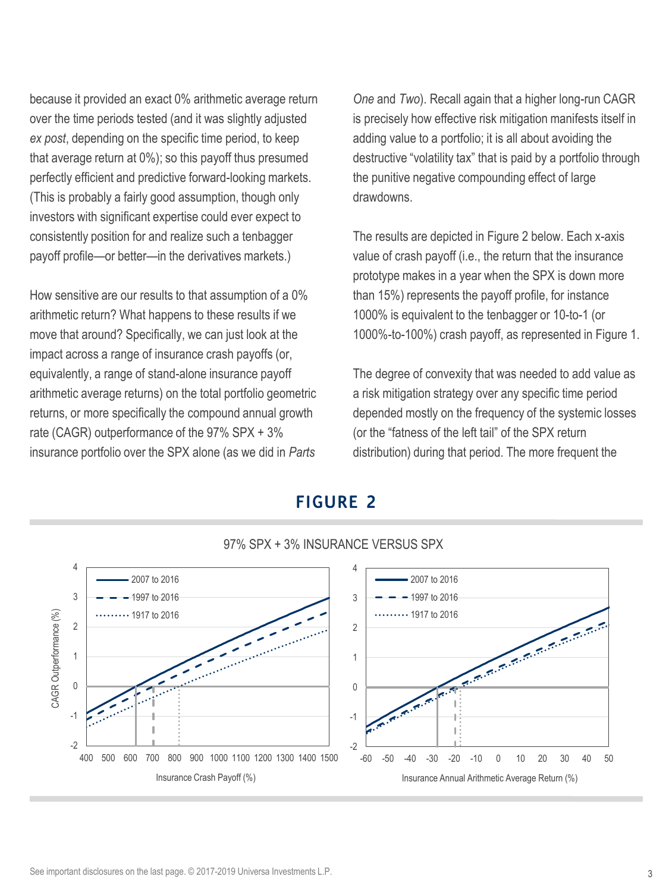because it provided an exact 0% arithmetic average return over the time periods tested (and it was slightly adjusted *ex post*, depending on the specific time period, to keep that average return at 0%); so this payoff thus presumed perfectly efficient and predictive forward-looking markets. (This is probably a fairly good assumption, though only investors with significant expertise could ever expect to consistently position for and realize such a tenbagger payoff profile—or better—in the derivatives markets.)

How sensitive are our results to that assumption of a 0% arithmetic return? What happens to these results if we move that around? Specifically, we can just look at the impact across a range of insurance crash payoffs (or, equivalently, a range of stand-alone insurance payoff arithmetic average returns) on the total portfolio geometric returns, or more specifically the compound annual growth rate (CAGR) outperformance of the 97% SPX + 3% insurance portfolio over the SPX alone (as we did in *Parts*

*One* and *Two*). Recall again that a higher long-run CAGR is precisely how effective risk mitigation manifests itself in adding value to a portfolio; it is all about avoiding the destructive "volatility tax" that is paid by a portfolio through the punitive negative compounding effect of large drawdowns.

The results are depicted in Figure 2 below. Each x-axis value of crash payoff (i.e., the return that the insurance prototype makes in a year when the SPX is down more than 15%) represents the payoff profile, for instance 1000% is equivalent to the tenbagger or 10-to-1 (or 1000%-to-100%) crash payoff, as represented in Figure 1.

The degree of convexity that was needed to add value as a risk mitigation strategy over any specific time period depended mostly on the frequency of the systemic losses (or the "fatness of the left tail" of the SPX return distribution) during that period. The more frequent the

# **FIGURE 2**



97% SPX + 3% INSURANCE VERSUS SPX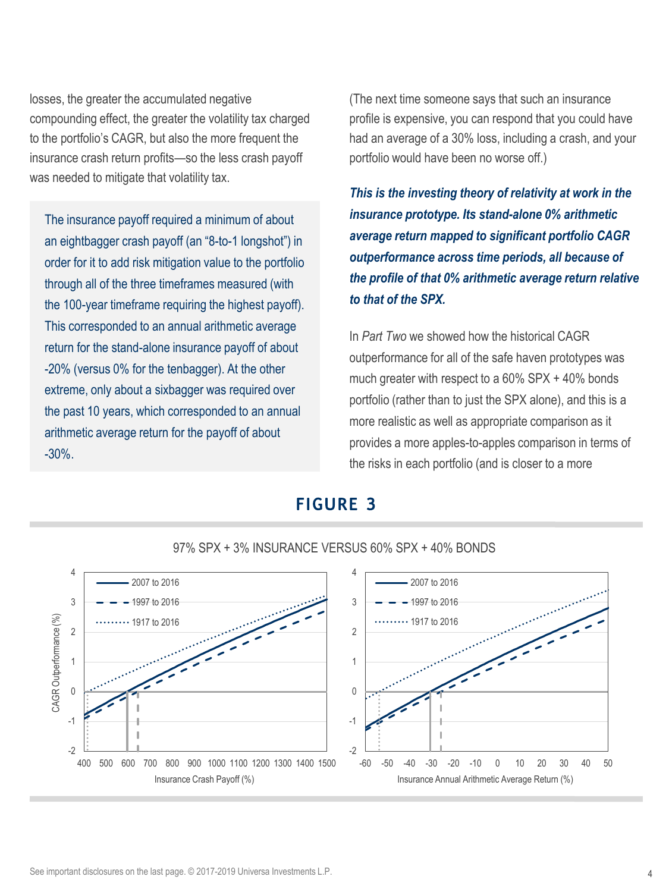losses, the greater the accumulated negative compounding effect, the greater the volatility tax charged to the portfolio's CAGR, but also the more frequent the insurance crash return profits—so the less crash payoff was needed to mitigate that volatility tax.

The insurance payoff required a minimum of about an eightbagger crash payoff (an "8-to-1 longshot") in order for it to add risk mitigation value to the portfolio through all of the three timeframes measured (with the 100-year timeframe requiring the highest payoff). This corresponded to an annual arithmetic average return for the stand-alone insurance payoff of about -20% (versus 0% for the tenbagger). At the other extreme, only about a sixbagger was required over the past 10 years, which corresponded to an annual arithmetic average return for the payoff of about -30%.

(The next time someone says that such an insurance profile is expensive, you can respond that you could have had an average of a 30% loss, including a crash, and your portfolio would have been no worse off.)

*This is the investing theory of relativity at work in the insurance prototype. Its stand-alone 0% arithmetic average return mapped to significant portfolio CAGR outperformance across time periods, all because of the profile of that 0% arithmetic average return relative to that of the SPX.*

In *Part Two* we showed how the historical CAGR outperformance for all of the safe haven prototypes was much greater with respect to a 60% SPX + 40% bonds portfolio (rather than to just the SPX alone), and this is a more realistic as well as appropriate comparison as it provides a more apples-to-apples comparison in terms of the risks in each portfolio (and is closer to a more

### **FIGURE 3**



97% SPX + 3% INSURANCE VERSUS 60% SPX + 40% BONDS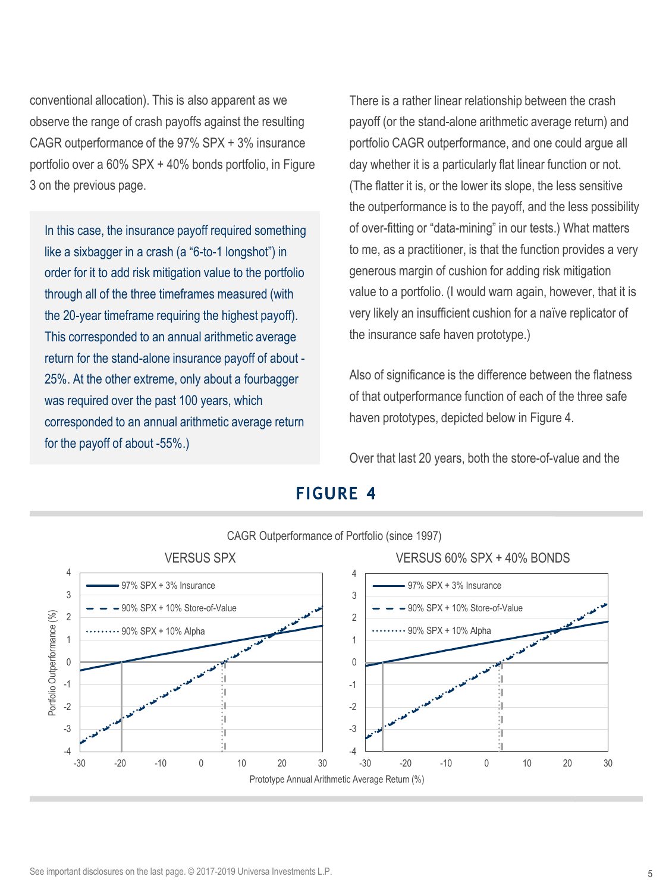conventional allocation). This is also apparent as we observe the range of crash payoffs against the resulting CAGR outperformance of the 97% SPX + 3% insurance portfolio over a 60% SPX + 40% bonds portfolio, in Figure 3 on the previous page.

In this case, the insurance payoff required something like a sixbagger in a crash (a "6-to-1 longshot") in order for it to add risk mitigation value to the portfolio through all of the three timeframes measured (with the 20-year timeframe requiring the highest payoff). This corresponded to an annual arithmetic average return for the stand-alone insurance payoff of about - 25%. At the other extreme, only about a fourbagger was required over the past 100 years, which corresponded to an annual arithmetic average return for the payoff of about -55%.)

There is a rather linear relationship between the crash payoff (or the stand-alone arithmetic average return) and portfolio CAGR outperformance, and one could argue all day whether it is a particularly flat linear function or not. (The flatter it is, or the lower its slope, the less sensitive the outperformance is to the payoff, and the less possibility of over-fitting or "data-mining" in our tests.) What matters to me, as a practitioner, is that the function provides a very generous margin of cushion for adding risk mitigation value to a portfolio. (I would warn again, however, that it is very likely an insufficient cushion for a naïve replicator of the insurance safe haven prototype.)

Also of significance is the difference between the flatness of that outperformance function of each of the three safe haven prototypes, depicted below in Figure 4.

Over that last 20 years, both the store-of-value and the



### **FIGURE 4**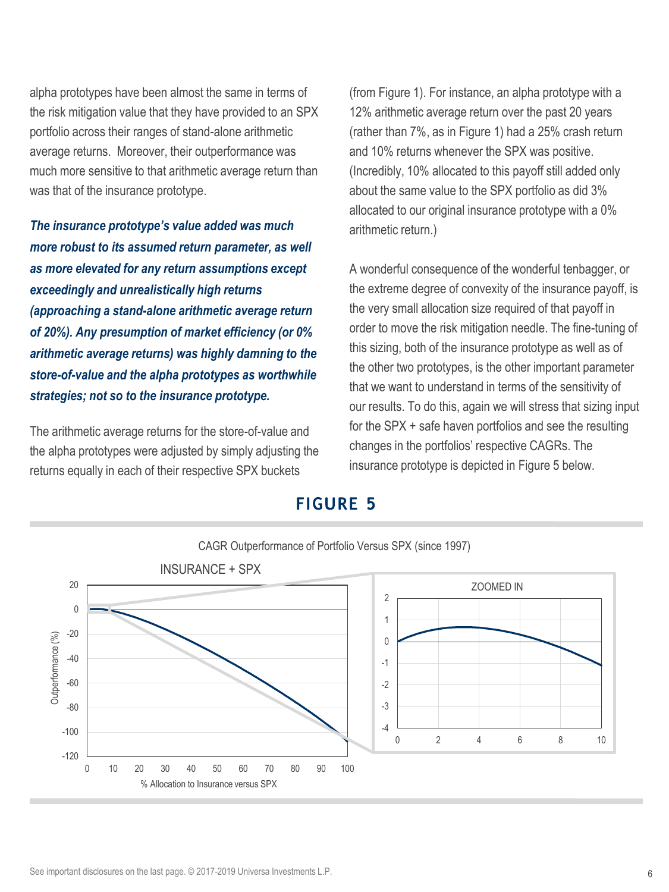alpha prototypes have been almost the same in terms of the risk mitigation value that they have provided to an SPX portfolio across their ranges of stand-alone arithmetic average returns. Moreover, their outperformance was much more sensitive to that arithmetic average return than was that of the insurance prototype.

*The insurance prototype's value added was much more robust to its assumed return parameter, as well as more elevated for any return assumptions except exceedingly and unrealistically high returns (approaching a stand-alone arithmetic average return of 20%). Any presumption of market efficiency (or 0% arithmetic average returns) was highly damning to the store-of-value and the alpha prototypes as worthwhile strategies; not so to the insurance prototype.* 

The arithmetic average returns for the store-of-value and the alpha prototypes were adjusted by simply adjusting the returns equally in each of their respective SPX buckets

(from Figure 1). For instance, an alpha prototype with a 12% arithmetic average return over the past 20 years (rather than 7%, as in Figure 1) had a 25% crash return and 10% returns whenever the SPX was positive. (Incredibly, 10% allocated to this payoff still added only about the same value to the SPX portfolio as did 3% allocated to our original insurance prototype with a 0% arithmetic return.)

A wonderful consequence of the wonderful tenbagger, or the extreme degree of convexity of the insurance payoff, is the very small allocation size required of that payoff in order to move the risk mitigation needle. The fine-tuning of this sizing, both of the insurance prototype as well as of the other two prototypes, is the other important parameter that we want to understand in terms of the sensitivity of our results. To do this, again we will stress that sizing input for the SPX + safe haven portfolios and see the resulting changes in the portfolios' respective CAGRs. The insurance prototype is depicted in Figure 5 below.

#### **FIGURE 5**

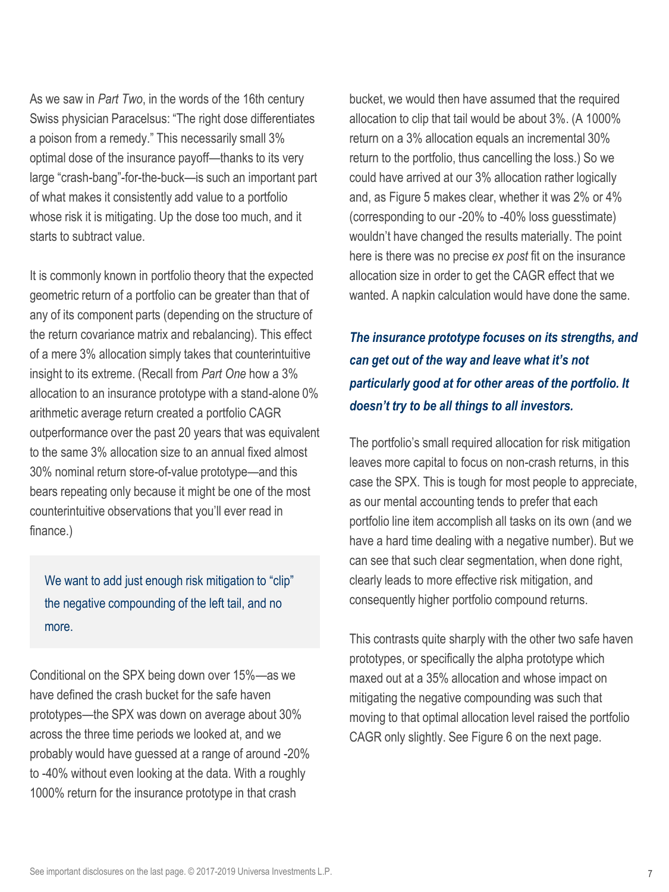As we saw in *Part Two*, in the words of the 16th century Swiss physician Paracelsus: "The right dose differentiates a poison from a remedy." This necessarily small 3% optimal dose of the insurance payoff—thanks to its very large "crash-bang"-for-the-buck—is such an important part of what makes it consistently add value to a portfolio whose risk it is mitigating. Up the dose too much, and it starts to subtract value.

It is commonly known in portfolio theory that the expected geometric return of a portfolio can be greater than that of any of its component parts (depending on the structure of the return covariance matrix and rebalancing). This effect of a mere 3% allocation simply takes that counterintuitive insight to its extreme. (Recall from *Part One* how a 3% allocation to an insurance prototype with a stand-alone 0% arithmetic average return created a portfolio CAGR outperformance over the past 20 years that was equivalent to the same 3% allocation size to an annual fixed almost 30% nominal return store-of-value prototype—and this bears repeating only because it might be one of the most counterintuitive observations that you'll ever read in finance.)

We want to add just enough risk mitigation to "clip" the negative compounding of the left tail, and no more.

Conditional on the SPX being down over 15%—as we have defined the crash bucket for the safe haven prototypes—the SPX was down on average about 30% across the three time periods we looked at, and we probably would have guessed at a range of around -20% to -40% without even looking at the data. With a roughly 1000% return for the insurance prototype in that crash

bucket, we would then have assumed that the required allocation to clip that tail would be about 3%. (A 1000% return on a 3% allocation equals an incremental 30% return to the portfolio, thus cancelling the loss.) So we could have arrived at our 3% allocation rather logically and, as Figure 5 makes clear, whether it was 2% or 4% (corresponding to our -20% to -40% loss guesstimate) wouldn't have changed the results materially. The point here is there was no precise *ex post* fit on the insurance allocation size in order to get the CAGR effect that we wanted. A napkin calculation would have done the same.

*The insurance prototype focuses on its strengths, and can get out of the way and leave what it's not particularly good at for other areas of the portfolio. It doesn't try to be all things to all investors.* 

The portfolio's small required allocation for risk mitigation leaves more capital to focus on non-crash returns, in this case the SPX. This is tough for most people to appreciate, as our mental accounting tends to prefer that each portfolio line item accomplish all tasks on its own (and we have a hard time dealing with a negative number). But we can see that such clear segmentation, when done right, clearly leads to more effective risk mitigation, and consequently higher portfolio compound returns.

This contrasts quite sharply with the other two safe haven prototypes, or specifically the alpha prototype which maxed out at a 35% allocation and whose impact on mitigating the negative compounding was such that moving to that optimal allocation level raised the portfolio CAGR only slightly. See Figure 6 on the next page.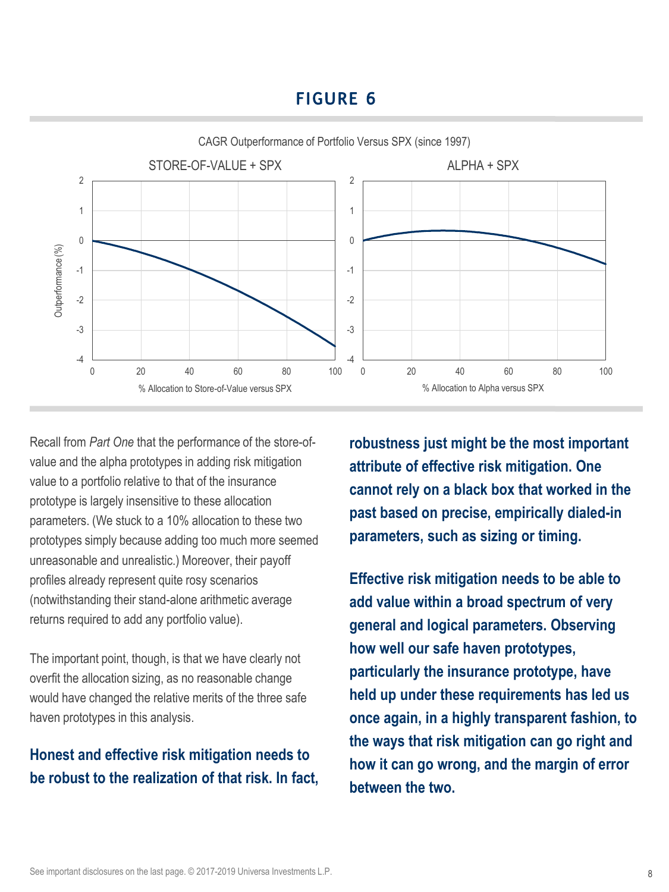# **FIGURE 6**



Recall from *Part One* that the performance of the store-ofvalue and the alpha prototypes in adding risk mitigation value to a portfolio relative to that of the insurance prototype is largely insensitive to these allocation parameters. (We stuck to a 10% allocation to these two prototypes simply because adding too much more seemed unreasonable and unrealistic.) Moreover, their payoff profiles already represent quite rosy scenarios (notwithstanding their stand-alone arithmetic average returns required to add any portfolio value).

The important point, though, is that we have clearly not overfit the allocation sizing, as no reasonable change would have changed the relative merits of the three safe haven prototypes in this analysis.

# **Honest and effective risk mitigation needs to be robust to the realization of that risk. In fact,**

**robustness just might be the most important attribute of effective risk mitigation. One cannot rely on a black box that worked in the past based on precise, empirically dialed-in parameters, such as sizing or timing.** 

**Effective risk mitigation needs to be able to add value within a broad spectrum of very general and logical parameters. Observing how well our safe haven prototypes, particularly the insurance prototype, have held up under these requirements has led us once again, in a highly transparent fashion, to the ways that risk mitigation can go right and how it can go wrong, and the margin of error between the two.**